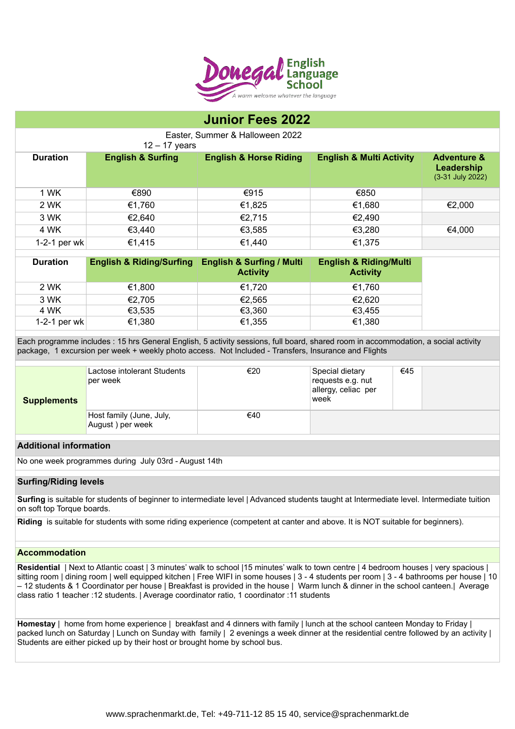

# **Junior Fees 2022**

Easter, Summer & Halloween 2022

12 – 17 years

| <b>Duration</b> | <b>English &amp; Surfing</b> | <b>English &amp; Horse Riding</b> | <b>English &amp; Multi Activity</b> | <b>Adventure &amp;</b><br>Leadership<br>(3-31 July 2022) |
|-----------------|------------------------------|-----------------------------------|-------------------------------------|----------------------------------------------------------|
| 1 WK            | €890                         | €915                              | €850                                |                                                          |
| 2 WK            | €1,760                       | €1,825                            | €1,680                              | €2,000                                                   |
| 3 WK            | €2,640                       | €2,715                            | €2,490                              |                                                          |
| 4 WK            | €3,440                       | €3,585                            | €3,280                              | €4,000                                                   |
| 1-2-1 per wk    | €1,415                       | €1,440                            | €1,375                              |                                                          |

| <b>Duration</b> | <b>English &amp; Riding/Surfing</b> | <b>English &amp; Surfing / Multi</b><br><b>Activity</b> | <b>English &amp; Riding/Multi</b><br><b>Activity</b> |
|-----------------|-------------------------------------|---------------------------------------------------------|------------------------------------------------------|
| 2 WK            | €1,800                              | €1.720                                                  | €1.760                                               |
| 3 WK            | €2,705                              | €2,565                                                  | €2,620                                               |
| 4 WK            | €3,535                              | €3,360                                                  | €3,455                                               |
| 1-2-1 per wk    | €1,380                              | €1,355                                                  | €1,380                                               |

Each programme includes : 15 hrs General English, 5 activity sessions, full board, shared room in accommodation, a social activity package, 1 excursion per week + weekly photo access. Not Included - Transfers, Insurance and Flights

| <b>Supplements</b> | Lactose intolerant Students<br>per week      | €20 | Special dietary<br>requests e.g. nut<br>allergy, celiac per<br>week | €45 |  |
|--------------------|----------------------------------------------|-----|---------------------------------------------------------------------|-----|--|
|                    | Host family (June, July,<br>August) per week | €40 |                                                                     |     |  |

# **Additional information**

No one week programmes during July 03rd - August 14th

# **Surfing/Riding levels**

**Surfing** is suitable for students of beginner to intermediate level | Advanced students taught at Intermediate level. Intermediate tuition on soft top Torque boards.

**Riding** is suitable for students with some riding experience (competent at canter and above. It is NOT suitable for beginners).

#### **Accommodation**

**Residential** | Next to Atlantic coast | 3 minutes' walk to school |15 minutes' walk to town centre | 4 bedroom houses | very spacious | sitting room | dining room | well equipped kitchen | Free WIFI in some houses | 3 - 4 students per room | 3 - 4 bathrooms per house | 10 – 12 students & 1 Coordinator per house | Breakfast is provided in the house | Warm lunch & dinner in the school canteen.| Average class ratio 1 teacher :12 students. | Average coordinator ratio, 1 coordinator :11 students

**Homestay** | home from home experience | breakfast and 4 dinners with family | lunch at the school canteen Monday to Friday | packed lunch on Saturday | Lunch on Sunday with family | 2 evenings a week dinner at the residential centre followed by an activity | Students are either picked up by their host or brought home by school bus.